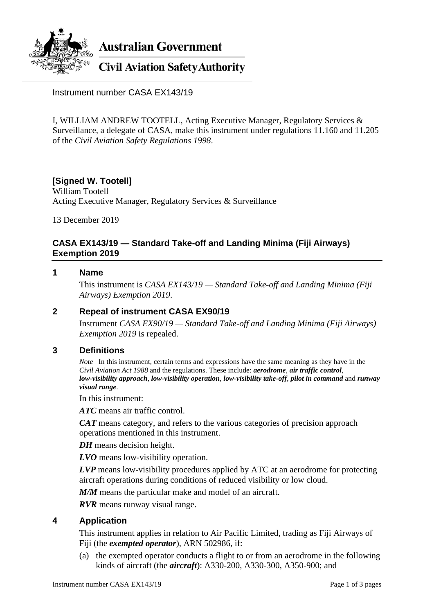

**Australian Government** 

**Civil Aviation Safety Authority** 

Instrument number CASA EX143/19

I, WILLIAM ANDREW TOOTELL, Acting Executive Manager, Regulatory Services & Surveillance, a delegate of CASA, make this instrument under regulations 11.160 and 11.205 of the *Civil Aviation Safety Regulations 1998*.

# **[Signed W. Tootell]**

William Tootell Acting Executive Manager, Regulatory Services & Surveillance

13 December 2019

## **CASA EX143/19 — Standard Take-off and Landing Minima (Fiji Airways) Exemption 2019**

## **1 Name**

This instrument is *CASA EX143/19 — Standard Take-off and Landing Minima (Fiji Airways) Exemption 2019*.

## **2 Repeal of instrument CASA EX90/19**

Instrument *CASA EX90/19 — Standard Take-off and Landing Minima (Fiji Airways) Exemption 2019* is repealed.

## **3 Definitions**

*Note* In this instrument, certain terms and expressions have the same meaning as they have in the *Civil Aviation Act 1988* and the regulations. These include: *aerodrome*, *air traffic control*, *low-visibility approach*, *low-visibility operation*, *low-visibility take-off*, *pilot in command* and *runway visual range*.

In this instrument:

*ATC* means air traffic control.

*CAT* means category, and refers to the various categories of precision approach operations mentioned in this instrument.

*DH* means decision height.

*LVO* means low-visibility operation.

*LVP* means low-visibility procedures applied by ATC at an aerodrome for protecting aircraft operations during conditions of reduced visibility or low cloud.

*M/M* means the particular make and model of an aircraft.

*RVR* means runway visual range.

## **4 Application**

This instrument applies in relation to Air Pacific Limited, trading as Fiji Airways of Fiji (the *exempted operator*), ARN 502986, if:

(a) the exempted operator conducts a flight to or from an aerodrome in the following kinds of aircraft (the *aircraft*): A330-200, A330-300, A350-900; and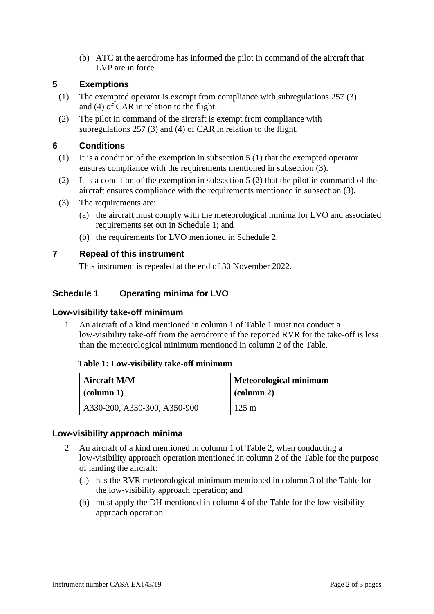(b) ATC at the aerodrome has informed the pilot in command of the aircraft that LVP are in force.

## **5 Exemptions**

- (1) The exempted operator is exempt from compliance with subregulations 257 (3) and (4) of CAR in relation to the flight.
- (2) The pilot in command of the aircraft is exempt from compliance with subregulations 257 (3) and (4) of CAR in relation to the flight.

## **6 Conditions**

- (1) It is a condition of the exemption in subsection 5 (1) that the exempted operator ensures compliance with the requirements mentioned in subsection (3).
- (2) It is a condition of the exemption in subsection 5 (2) that the pilot in command of the aircraft ensures compliance with the requirements mentioned in subsection (3).
- (3) The requirements are:
	- (a) the aircraft must comply with the meteorological minima for LVO and associated requirements set out in Schedule 1; and
	- (b) the requirements for LVO mentioned in Schedule 2.

## **7 Repeal of this instrument**

This instrument is repealed at the end of 30 November 2022.

## **Schedule 1 Operating minima for LVO**

## **Low-visibility take-off minimum**

1 An aircraft of a kind mentioned in column 1 of Table 1 must not conduct a low-visibility take-off from the aerodrome if the reported RVR for the take-off is less than the meteorological minimum mentioned in column 2 of the Table.

#### **Table 1: Low-visibility take-off minimum**

| <b>Aircraft M/M</b>          | <b>Meteorological minimum</b> |
|------------------------------|-------------------------------|
| $\alpha$ (column 1)          | $\alpha$ (column 2)           |
| A330-200, A330-300, A350-900 | $125 \text{ m}$               |

## **Low-visibility approach minima**

- 2 An aircraft of a kind mentioned in column 1 of Table 2, when conducting a low-visibility approach operation mentioned in column 2 of the Table for the purpose of landing the aircraft:
	- (a) has the RVR meteorological minimum mentioned in column 3 of the Table for the low-visibility approach operation; and
	- (b) must apply the DH mentioned in column 4 of the Table for the low-visibility approach operation.